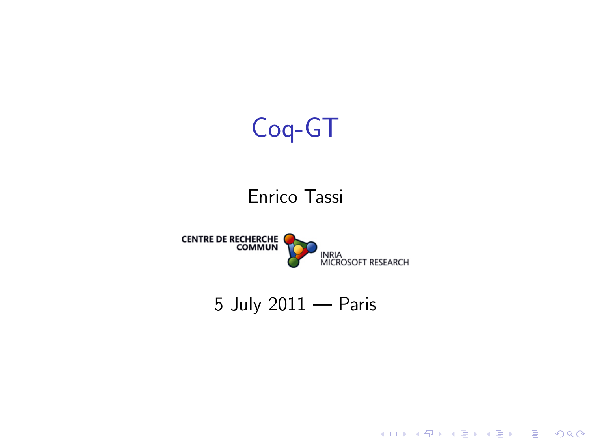

#### <span id="page-0-0"></span>5 July 2011 — Paris

K ロ X イロ X K ミ X K ミ X ミ X Y Q Q Q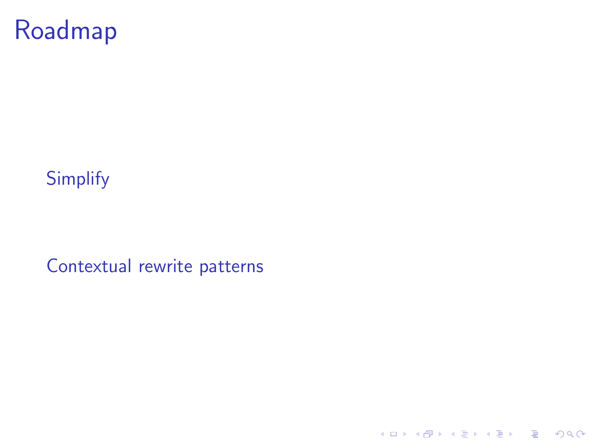# Roadmap

#### **[Simplify](#page-2-0)**

[Contextual rewrite patterns](#page-4-0)

K ロ ▶ K @ ▶ K 할 ▶ K 할 ▶ | 할 | ⊙Q @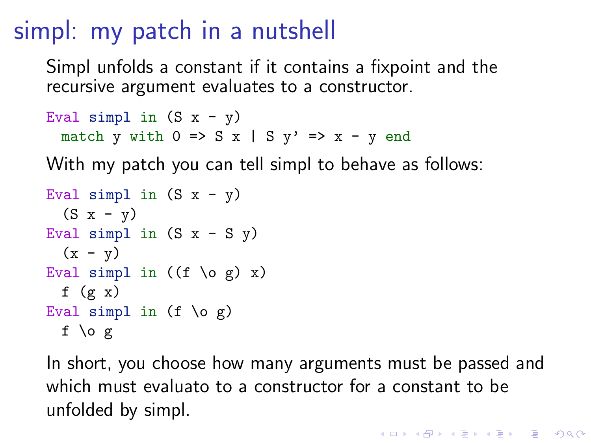## simpl: my patch in a nutshell

Simpl unfolds a constant if it contains a fixpoint and the recursive argument evaluates to a constructor.

```
Eval simpl in (S x - y)match y with 0 \Rightarrow S \times | S \times Y \Rightarrow X - y end
```
With my patch you can tell simpl to behave as follows:

```
Eval simpl in (S x - y)(S x - v)Eval simpl in (S x - S y)(x - y)Eval simpl in ((f \circ g) x)f (g x)Eval simpl in (f \ o g)f \log
```
<span id="page-2-0"></span>In short, you choose how many arguments must be passed and which must evaluato to a constructor for a constant to be unfolded by simpl.

**K ロ ▶ K @ ▶ K 할 X X 할 X → 할 X → 9 Q Q ^**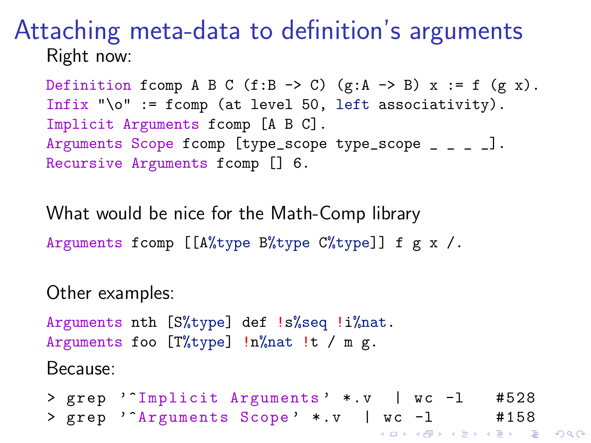#### Attaching meta-data to definition's arguments Right now:

Definition fcomp A B C (f:B  $\rightarrow$  C) (g:A  $\rightarrow$  B) x := f (g x). Infix " $\lozenge$ " := fcomp (at level 50, left associativity). Implicit Arguments fcomp [A B C]. Arguments Scope fcomp [type\_scope type\_scope \_ \_ \_ \_]. Recursive Arguments fcomp [] 6.

What would be nice for the Math-Comp library Arguments fcomp  $[[A\%type B\%type C\%type]]$  f g x /.

Other examples:

Arguments nth [S%type] def !s%seq !i%nat. Arguments foo [T%type] !n%nat !t / m g.

Because:

```
> grep '^Implicit Arguments' *.v | wc -1 #528
> g r e p '^A r g u m e n t s Scope ' * .v | w c -l # 1 5 8
```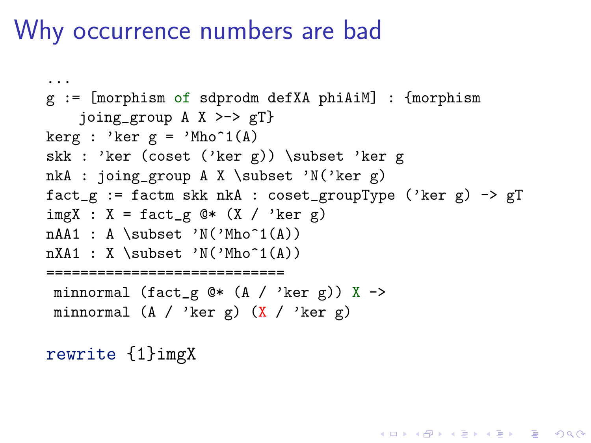```
...
g := [morphism of sdprodm defXA phiAiM] : {morphism
    joing_group A X >-> gT}
kerg : 'ker g = 'Mho^1(A)skk : 'ker (coset ('ker g)) \subset 'ker g
nkA : joing_group A X \subset 'N('ker g)
fact_g := factm skk nkA : coset_groupType ('ker g) -> gT
imgX : X = fact_g @* (X / 'ker g)nAA1 : A \subset 'N('Mho<sup>21(A))</sup>
nXA1 : X \subset 'N('Mho^1(A))
   ============================
 minnormal (fact_g Q* (A / 'ker g)) X ->
 minnormal (A / 'ker g) (X / 'ker g)
```
**KORK ERKER ADE YOUR** 

<span id="page-4-0"></span>rewrite {1}imgX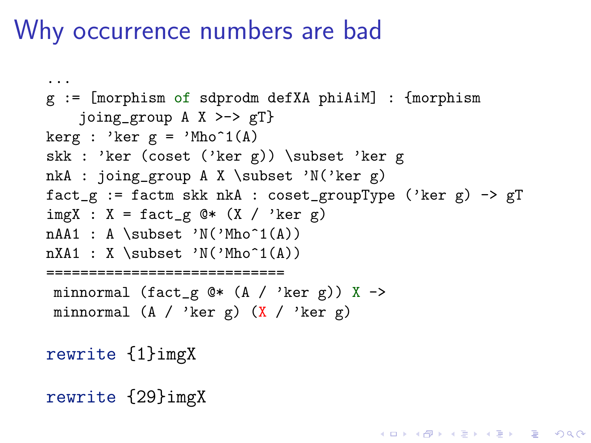```
...
g := [morphism of sdprodm defXA phiAiM] : {morphism
    joing_group A X >-> gT}
kerg : 'ker g = 'Mho^1(A)skk : 'ker (coset ('ker g)) \subset 'ker g
nkA : joing_group A X \subset 'N('ker g)
fact_g := factm skk nkA : coset_groupType ('ker g) -> gT
imgX : X = fact_g @* (X / 'ker g)nAA1 : A \subset 'N('Mho<sup>21(A))</sup>
nXA1 : X \subset 'N('Mho^1(A))
   ============================
 minnormal (fact_g Q* (A / 'ker g)) X ->
 minnormal (A / 'ker g) (X / 'ker g)
```
**KORKA SERKER ORA** 

```
rewrite {1}imgX
```
<span id="page-5-0"></span>rewrite {29}imgX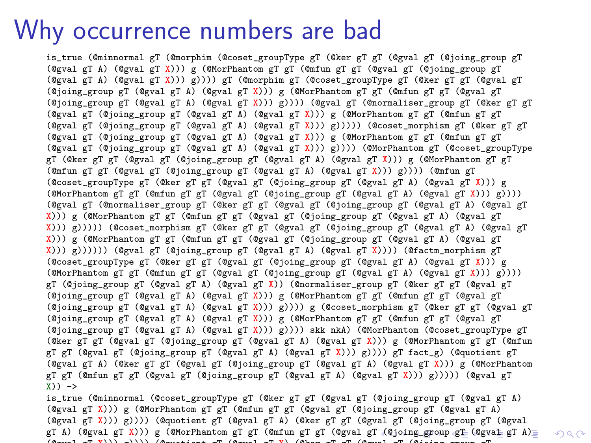is\_true (@minnormal gT (@morphim (@coset\_groupType gT (@ker gT gT (@gval gT (@joing\_group gT (@gval gT A) (@gval gT X))) g (@MorPhantom gT gT (@mfun gT gT (@gval gT (@joing\_group gT (@gval gT A) (@gval gT X))) g)))) gT (@morphim gT (@coset\_groupType gT (@ker gT gT (@gval gT (@joing\_group gT (@gval gT A) (@gval gT X))) g (@MorPhantom gT gT (@mfun gT gT (@gval gT (@joing\_group gT (@gval gT A) (@gval gT X))) g)))) (@gval gT (@normaliser\_group gT (@ker gT gT (@gval gT (@joing\_group gT (@gval gT A) (@gval gT X))) g (@MorPhantom gT gT (@mfun gT gT (@gval gT (@joing\_group gT (@gval gT A) (@gval gT X))) g))))) (@coset\_morphism gT (@ker gT gT (@gval gT (@joing\_group gT (@gval gT A) (@gval gT X))) g (@MorPhantom gT gT (@mfun gT gT (@gval gT (@joing\_group gT (@gval gT A) (@gval gT X))) g)))) (@MorPhantom gT (@coset\_groupType gT (@ker gT gT (@gval gT (@joing\_group gT (@gval gT A) (@gval gT X))) g (@MorPhantom gT gT (@mfun gT gT (@gval gT (@joing\_group gT (@gval gT A) (@gval gT X))) g)))) (@mfun gT (@coset\_groupType gT (@ker gT gT (@gval gT (@joing\_group gT (@gval gT A) (@gval gT X))) g (@MorPhantom gT gT (@mfun gT gT (@gval gT (@joing\_group gT (@gval gT A) (@gval gT X))) g)))) (@gval gT (@normaliser\_group gT (@ker gT gT (@gval gT (@joing\_group gT (@gval gT A) (@gval gT X))) g (@MorPhantom gT gT (@mfun gT gT (@gval gT (@joing\_group gT (@gval gT A) (@gval gT X))) g))))) (@coset\_morphism gT (@ker gT gT (@gval gT (@joing\_group gT (@gval gT A) (@gval gT X))) g (@MorPhantom gT gT (@mfun gT gT (@gval gT (@joing\_group gT (@gval gT A) (@gval gT X))) g)))))) (@gval gT (@joing\_group gT (@gval gT A) (@gval gT X)))) (@factm\_morphism gT (@coset\_groupType gT (@ker gT gT (@gval gT (@joing\_group gT (@gval gT A) (@gval gT X))) g (@MorPhantom gT gT (@mfun gT gT (@gval gT (@joing\_group gT (@gval gT A) (@gval gT X))) g)))) gT (@joing\_group gT (@gval gT A) (@gval gT X)) (@normaliser\_group gT (@ker gT gT (@gval gT (@joing\_group gT (@gval gT A) (@gval gT X))) g (@MorPhantom gT gT (@mfun gT gT (@gval gT (@joing\_group gT (@gval gT A) (@gval gT X))) g)))) g (@coset\_morphism gT (@ker gT gT (@gval gT (@joing\_group gT (@gval gT A) (@gval gT X))) g (@MorPhantom gT gT (@mfun gT gT (@gval gT (@joing\_group gT (@gval gT A) (@gval gT X))) g)))) skk nkA) (@MorPhantom (@coset\_groupType gT (@ker gT gT (@gval gT (@joing\_group gT (@gval gT A) (@gval gT X))) g (@MorPhantom gT gT (@mfun gT gT (@gval gT (@joing\_group gT (@gval gT A) (@gval gT X))) g)))) gT fact\_g) (@quotient gT (@gval gT A) (@ker gT gT (@gval gT (@joing\_group gT (@gval gT A) (@gval gT X))) g (@MorPhantom gT gT (@mfun gT gT (@gval gT (@joing\_group gT (@gval gT A) (@gval gT X))) g))))) (@gval gT  $X)$ )  $\rightarrow$ is\_true (@minnormal (@coset\_groupType gT (@ker gT gT (@gval gT (@joing\_group gT (@gval gT A)

<span id="page-6-0"></span>(@gval gT X))) g (@MorPhantom gT gT (@mfun gT gT (@gval gT (@joing\_group gT (@gval gT A) (@gval gT X))) g)))) (@quotient gT (@gval gT A) (@ker gT gT (@gval gT (@joing\_group gT (@gval gT A) [\(@](#page-17-0)gval gT X))) g (@MorPhantom gT gT (@mfun gT gT (@gval gT (@j[oin](#page-7-0)[g](#page-5-0)[\\_gro](#page-6-0)[u](#page-7-0)[p](#page-3-0) [gT](#page-17-0) (@[gv](#page-3-0)[al](#page-4-0) gT [A\)](#page-0-0)=  $(a \rightarrow \overline{m} \overline{v})$ )) ( $(a \rightarrow \overline{m} \overline{v})$  group gt gt gt gt gt gt gt gt gt ( $(a \rightarrow \overline{m} \overline{v})$ 

 $OQ$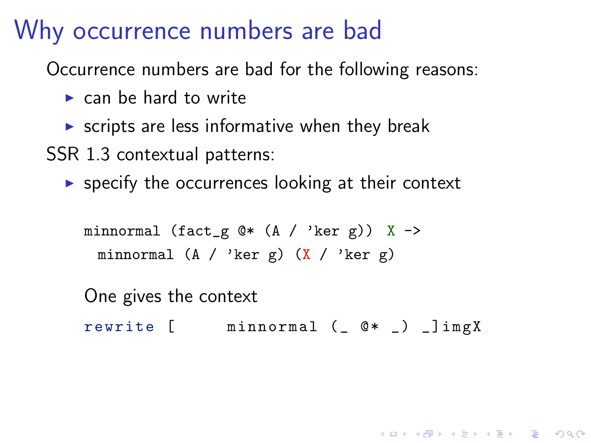Occurrence numbers are bad for the following reasons:

- $\blacktriangleright$  can be hard to write
- $\triangleright$  scripts are less informative when they break

SSR 1.3 contextual patterns:

 $\triangleright$  specify the occurrences looking at their context

minnormal (fact\_g  $Q*$  (A / 'ker g)) X -> minnormal  $(A / 'ker g)$   $(X / 'ker g)$ 

<span id="page-7-0"></span>One gives the context rewrite  $[$  minnormal  $($   $@*$   $)$   $]$ imgX

4 D > 4 P + 4 B + 4 B + B + 9 Q O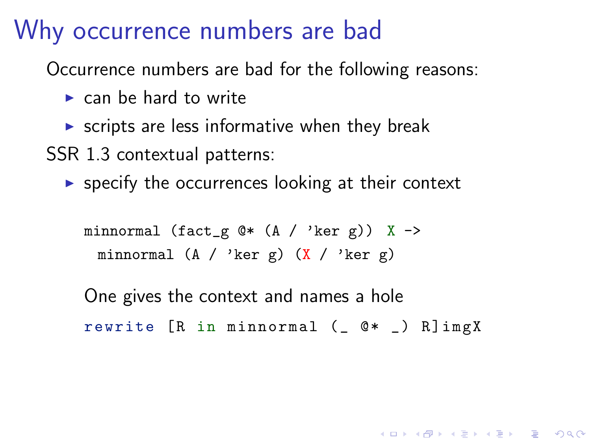Occurrence numbers are bad for the following reasons:

- $\blacktriangleright$  can be hard to write
- $\triangleright$  scripts are less informative when they break

SSR 1.3 contextual patterns:

 $\triangleright$  specify the occurrences looking at their context

minnormal (fact\_g  $@*$  (A / 'ker g)) X -> minnormal  $(A / 'ker g)$   $(X / 'ker g)$ 

One gives the context and names a hole rewrite  $[R$  in minnormal  $($   $@*$   $)$   $R]$ imgX

4 D > 4 P + 4 B + 4 B + B + 9 Q O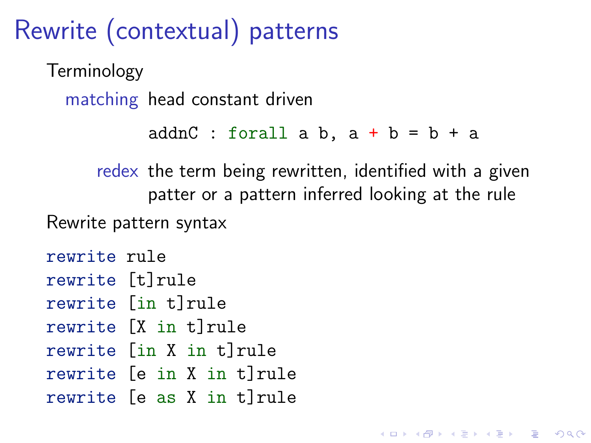Rewrite (contextual) patterns

Terminology matching head constant driven

```
addnC : forall a b, a + b = b + a
```
**KORK ERKER ADE YOUR** 

redex the term being rewritten, identified with a given patter or a pattern inferred looking at the rule Rewrite pattern syntax

rewrite rule rewrite [t]rule rewrite [in t]rule rewrite [X in t]rule rewrite [in X in t]rule rewrite [e in X in t]rule rewrite [e as X in t]rule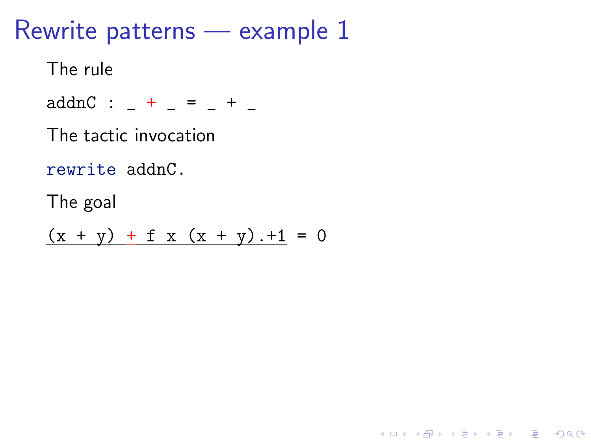## Rewrite patterns — example 1

The rule

 $addnC : _+ = _+$  =  $_+$  + \_

The tactic invocation

rewrite addnC.

The goal

 $(x + y) + f x (x + y) + 1 = 0$ 

K ロ ▶ K @ ▶ K 할 > K 할 > 1 할 > 1 이익어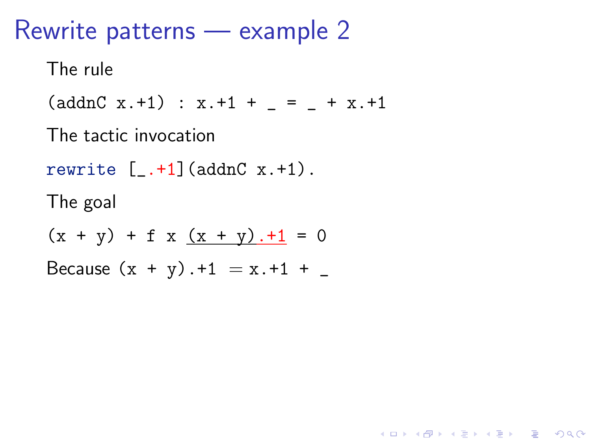### Rewrite patterns — example 2

The rule

 $(\text{addnC } x.+1) : x.+1 + \_ = \_ + x.+1$ 

The tactic invocation

rewrite  $[-. +1]$  (addnC  $x.+1$ ).

The goal

 $(x + y) + f x (x + y) + 1 = 0$ Because  $(x + y) + 1 = x + 1 + \_$ 

**KORKA SERKER ORA**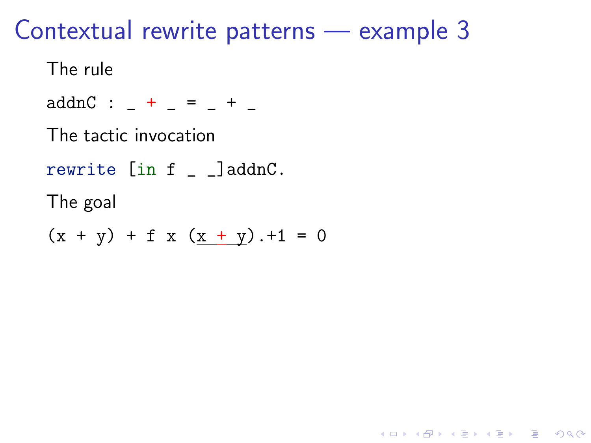**KORKA SERKER ORA** 

The rule

 $addnC : _+ - = _+ -$ 

The tactic invocation

rewrite [in f \_ \_]addnC.

The goal

 $(x + y) + f x (x + y) + 1 = 0$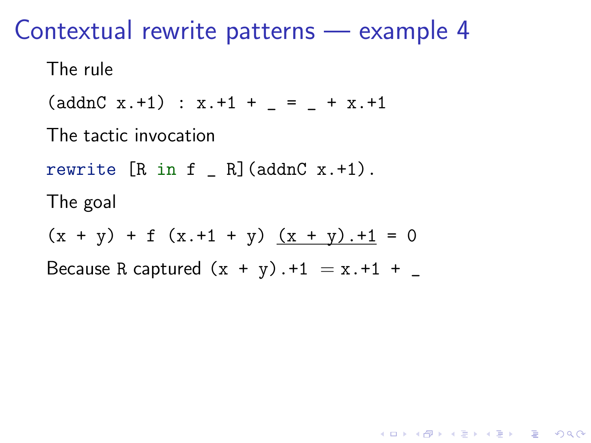The rule

 $(\text{addnC } x.+1) : x.+1 + = + x.+1$ 

The tactic invocation

rewrite  $[R \text{ in } f \quad R]$  (addnC x.+1).

The goal

 $(x + y) + f (x + 1 + y) (x + y) + 1 = 0$ 

Because R captured  $(x + y) + 1 = x + 1 + ...$ 

**KORKA SERKER ORA**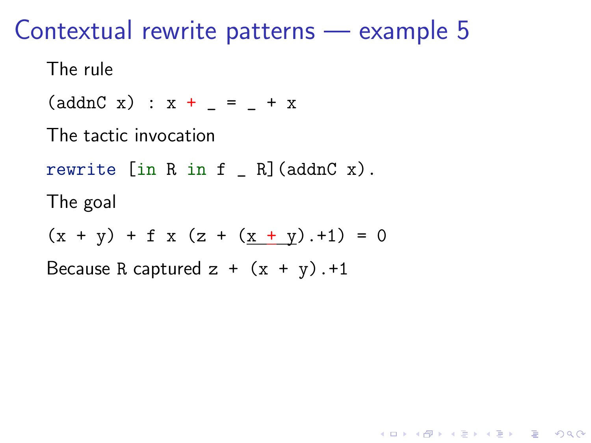The rule

 $(\text{addnC x}) : x + _ = _ + x$ 

The tactic invocation

rewrite  $\begin{bmatrix} \text{in } R & \text{in } f \\ \end{bmatrix}$  (addnC x).

The goal

 $(x + y) + f x (z + (x + y) . + 1) = 0$ 

**KORKA SERKER ORA** 

Because R captured  $z + (x + y)$ .+1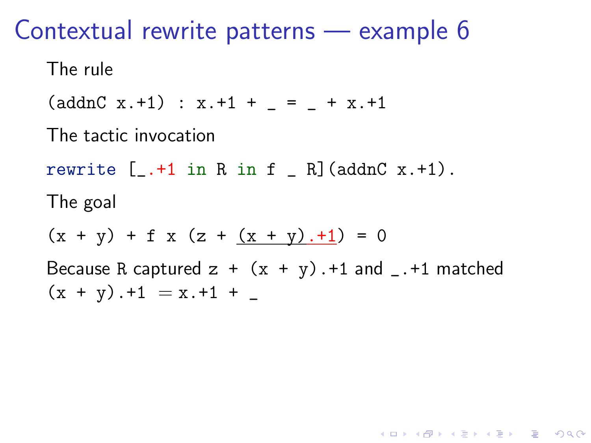The rule

 $(\text{addnC } x.+1) : x.+1 + = + x.+1$ 

The tactic invocation

rewrite  $[-.41$  in R in f  $[R]$  (addnC x.+1).

The goal

 $(x + y) + f x (z + (x + y). + 1) = 0$ 

Because R captured  $z + (x + y)$ . +1 and \_. +1 matched  $(x + y)$ . +1 = x. +1 +

**KORK ERKER ADE YOUR**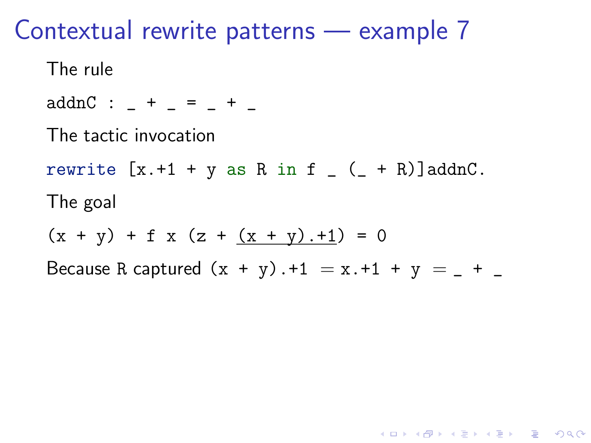The rule

 ${\rm addnC}$  :  $-$  +  $-$  =  $-$  +  $-$ 

The tactic invocation

rewrite  $[x.+1 + y$  as R in f  $(- + R)$ ]addnC.

The goal

 $(x + y) + f x (z + (x + y) . + 1) = 0$ 

<span id="page-16-0"></span>Because R captured  $(x + y)$ . +1 = x. +1 + y =  $-$  +  $-$ 

**KORKA SERKER ORA**